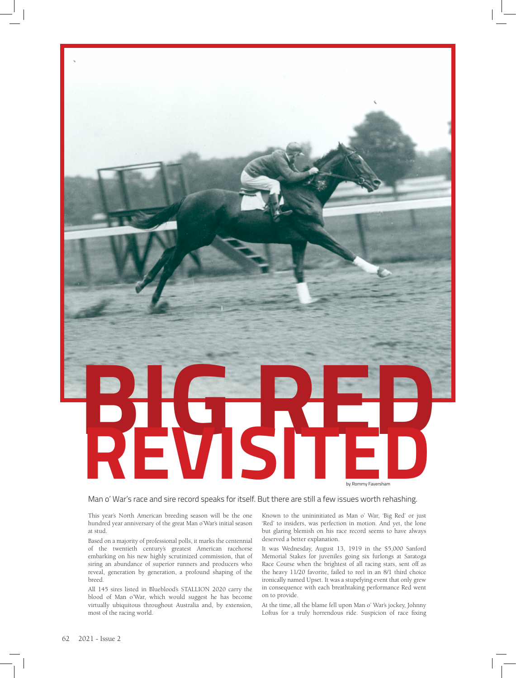

Man o' War's race and sire record speaks for itself. But there are still a few issues worth rehashing.

This year's North American breeding season will be the one hundred year anniversary of the great Man o'War's initial season at stud.

Based on a majority of professional polls, it marks the centennial of the twentieth century's greatest American racehorse embarking on his new highly scrutinized commission, that of siring an abundance of superior runners and producers who reveal, generation by generation, a profound shaping of the breed.

All 145 sires listed in Blueblood's STALLION 2020 carry the blood of Man o'War, which would suggest he has become virtually ubiquitous throughout Australia and, by extension, most of the racing world.

Known to the unininitiated as Man o' War, 'Big Red' or just 'Red' to insiders, was perfection in motion. And yet, the lone but glaring blemish on his race record seems to have always deserved a better explanation.

It was Wednesday, August 13, 1919 in the \$5,000 Sanford Memorial Stakes for juveniles going six furlongs at Saratoga Race Course when the brightest of all racing stars, sent off as the heavy 11/20 favorite, failed to reel in an 8/1 third choice ironically named Upset. It was a stupefying event that only grew in consequence with each breathtaking performance Red went on to provide.

At the time, all the blame fell upon Man o' War's jockey, Johnny Loftus for a truly horrendous ride. Suspicion of race fixing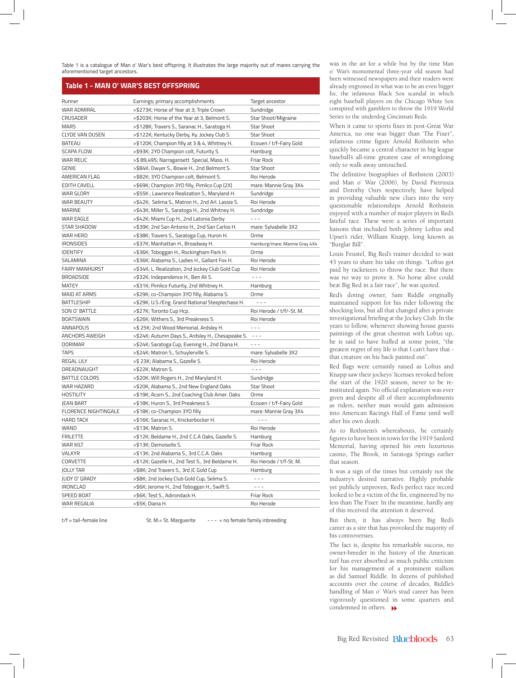Table 1 is a catalogue of Man o' War's best offspring. It illustrates the large majority out of mares carrying the aforementioned target ancestors.

## **Table 1 - MAN O' WAR'S BEST OFFSPRING**

| Runner                      | Earnings; primary accomplishments                 | Target ancestor                                                                                                                                                                                                                                                                                                                                                                              |
|-----------------------------|---------------------------------------------------|----------------------------------------------------------------------------------------------------------------------------------------------------------------------------------------------------------------------------------------------------------------------------------------------------------------------------------------------------------------------------------------------|
| <b>WAR ADMIRAL</b>          | >\$273K; Horse of Year at 3; Triple Crown         | Sundridge                                                                                                                                                                                                                                                                                                                                                                                    |
| CRUSADER                    | >\$203K; Horse of the Year at 3, Belmont S.       | Star Shoot/Migraine                                                                                                                                                                                                                                                                                                                                                                          |
| <b>MARS</b>                 | >\$128K; Travers S., Saranac H., Saratoga H.      | <b>Star Shoot</b>                                                                                                                                                                                                                                                                                                                                                                            |
| <b>CLYDE VAN DUSEN</b>      | >\$122K; Kentucky Derby, Ky. Jockey Club S.       | <b>Star Shoot</b>                                                                                                                                                                                                                                                                                                                                                                            |
| <b>BATEAU</b>               | >\$120K; Champion filly at 3 & 4, Whitney H.      | Ecouen / t/f-Fairy Gold                                                                                                                                                                                                                                                                                                                                                                      |
| <b>SCAPA FLOW</b>           | >\$93K; 2YO Champion colt, Futurity S.            | Hamburg                                                                                                                                                                                                                                                                                                                                                                                      |
| <b>WAR RELIC</b>            | >\$89,495; Narragansett Special, Mass. H.         | Friar Rock                                                                                                                                                                                                                                                                                                                                                                                   |
| <b>GENIE</b>                | >\$84K; Dwyer S., Bowie H., 2nd Belmont S.        | <b>Star Shoot</b>                                                                                                                                                                                                                                                                                                                                                                            |
| AMERICAN FLAG               | >\$82K; 3YO Champion colt, Belmont S.             | Roi Herode                                                                                                                                                                                                                                                                                                                                                                                   |
| <b>EDITH CAVELL</b>         | >\$69K; Champion 3YO filly, Pimlico Cup (2X)      | mare: Mannie Gray 3X4                                                                                                                                                                                                                                                                                                                                                                        |
| <b>WAR GLORY</b>            | >\$55K; Lawrence Realization S., Maryland H.      | Sundridge                                                                                                                                                                                                                                                                                                                                                                                    |
| WAR BEAUTY                  | >\$42K; Selima S., Matron H., 2nd Arl. Lassie S.  | Roi Herode                                                                                                                                                                                                                                                                                                                                                                                   |
| <b>MARINE</b>               | >\$43K; Miller S., Saratoga H., 2nd Whitney H.    | Sundridge                                                                                                                                                                                                                                                                                                                                                                                    |
| WAR EAGLE                   | >\$42K; Miami Cup H., 2nd Latonia Derby           | $- - -$                                                                                                                                                                                                                                                                                                                                                                                      |
| <b>STAR SHADOW</b>          | >\$39K; 2nd San Antonio H., 2nd San Carlos H.     | mare: Sylvabelle 3X2                                                                                                                                                                                                                                                                                                                                                                         |
| <b>WAR HERO</b>             | >\$38K; Travers S., Saratoga Cup, Huron H.        | Orme                                                                                                                                                                                                                                                                                                                                                                                         |
| <b>IRONSIDES</b>            | >\$37K; Manhattan H., Broadway H.                 | Hamburg/mare: Mannie Gray 4X4                                                                                                                                                                                                                                                                                                                                                                |
| <b>IDENTIFY</b>             | >\$36K; Toboggan H., Rockingham Park H.           | Orme                                                                                                                                                                                                                                                                                                                                                                                         |
| SALAMINA                    | >\$36K; Alabama S., Ladies H., Gallant Fox H.     | Roi Herode                                                                                                                                                                                                                                                                                                                                                                                   |
| <b>FAIRY MANHURST</b>       | >\$34K; L. Realization, 2nd Jockey Club Gold Cup  | Roi Herode                                                                                                                                                                                                                                                                                                                                                                                   |
| <b>BROADSIDE</b>            | >\$32K; Independence H., Ben Ali S.               | $- - -$                                                                                                                                                                                                                                                                                                                                                                                      |
| <b>MATEY</b>                | >\$31K; Pimlico Futurity, 2nd Whitney H.          | Hamburg                                                                                                                                                                                                                                                                                                                                                                                      |
| <b>MAID AT ARMS</b>         | >\$29K; co-Champion 3YO filly, Alabama S.         | Orme                                                                                                                                                                                                                                                                                                                                                                                         |
| <b>BATTLESHIP</b>           | >\$29K; U.S./Eng. Grand National Steeplechase H.  | ---                                                                                                                                                                                                                                                                                                                                                                                          |
| SON O' BATTLE               | >\$27K; Toronto Cup Hcp.                          | Roi Herode / t/f/-St. M.                                                                                                                                                                                                                                                                                                                                                                     |
| <b>BOATSWAIN</b>            | >\$26K; Withers S., 3rd Preakness S.              | Roi Herode                                                                                                                                                                                                                                                                                                                                                                                   |
| ANNAPOLIS                   | >\$25K; 2nd Wood Memorial, Ardsley H.             | $- - -$                                                                                                                                                                                                                                                                                                                                                                                      |
| ANCHORS AWEIGH              | >\$24K; Autumn Days S., Ardsley H., Chesapeake S. | $\frac{1}{2} \frac{1}{2} \frac{1}{2} \frac{1}{2} \frac{1}{2} \frac{1}{2} \frac{1}{2} \frac{1}{2} \frac{1}{2} \frac{1}{2} \frac{1}{2} \frac{1}{2} \frac{1}{2} \frac{1}{2} \frac{1}{2} \frac{1}{2} \frac{1}{2} \frac{1}{2} \frac{1}{2} \frac{1}{2} \frac{1}{2} \frac{1}{2} \frac{1}{2} \frac{1}{2} \frac{1}{2} \frac{1}{2} \frac{1}{2} \frac{1}{2} \frac{1}{2} \frac{1}{2} \frac{1}{2} \frac{$ |
| <b>DORIMAR</b>              | >\$24K; Saratoga Cup, Evening H., 2nd Diana H.    | $- - -$                                                                                                                                                                                                                                                                                                                                                                                      |
| <b>TAPS</b>                 | >\$24K; Matron S., Schuylerville S.               | mare: Sylvabelle 3X2                                                                                                                                                                                                                                                                                                                                                                         |
| <b>REGAL LILY</b>           | >\$23K; Alabama S., Gazelle S.                    | Roi Herode                                                                                                                                                                                                                                                                                                                                                                                   |
| DREADNAUGHT                 | >\$22K; Matron S.                                 | $- - -$                                                                                                                                                                                                                                                                                                                                                                                      |
| <b>BATTLE COLORS</b>        | >\$20K; Will Rogers H., 2nd Maryland H.           | Sundridge                                                                                                                                                                                                                                                                                                                                                                                    |
| WAR HAZARD                  | >\$20K; Alabama S., 2nd New England Oaks          | <b>Star Shoot</b>                                                                                                                                                                                                                                                                                                                                                                            |
| <b>HOSTILITY</b>            | >\$19K; Acorn S., 2nd Coaching Club Amer. Oaks    | Orme                                                                                                                                                                                                                                                                                                                                                                                         |
| JEAN BART                   | >\$18K; Huron S., 3rd Preakness S.                | Ecouen / t/f-Fairy Gold                                                                                                                                                                                                                                                                                                                                                                      |
| <b>FLORENCE NIGHTINGALE</b> | >\$18K; co-Champion 3YO filly                     | mare: Mannie Gray 3X4                                                                                                                                                                                                                                                                                                                                                                        |
| <b>HARD TACK</b>            | >\$16K; Saranac H., Knickerbocker H.              | $- - -$                                                                                                                                                                                                                                                                                                                                                                                      |
| WAND                        | >\$13K; Matron S.                                 | Roi Herode                                                                                                                                                                                                                                                                                                                                                                                   |
| <b>FRILETTE</b>             | >\$12K; Beldame H., 2nd C.C.A Oaks, Gazelle S.    | Hamburg                                                                                                                                                                                                                                                                                                                                                                                      |
| <b>WAR KILT</b>             | >\$13K; Demoiselle S.                             | Friar Rock                                                                                                                                                                                                                                                                                                                                                                                   |
| VALKYR                      | >\$13K; 2nd Alabama S., 3rd C.C.A. Oaks           | Hamburg                                                                                                                                                                                                                                                                                                                                                                                      |
| CORVETTE                    | >\$12K; Gazelle H., 2nd Test S., 3rd Beldame H.   | Roi Herode / t/f-St. M.                                                                                                                                                                                                                                                                                                                                                                      |
| <b>JOLLY TAR</b>            | >\$8K; 2nd Travers S., 3rd JC Gold Cup            | Hamburg                                                                                                                                                                                                                                                                                                                                                                                      |
| JUDY O' GRADY               | >\$8K; 2nd Jockey Club Gold Cup, Selima S.        | $- - -$                                                                                                                                                                                                                                                                                                                                                                                      |
| <b>IRONCLAD</b>             | >\$6K; Jerome H., 2nd Toboggan H., Swift S.       | $- - -$                                                                                                                                                                                                                                                                                                                                                                                      |
| SPEED BOAT                  | >\$6K; Test S., Adirondack H.                     | Friar Rock                                                                                                                                                                                                                                                                                                                                                                                   |
| WAR REGALIA                 | >\$5K; Diana H.                                   | Roi Herode                                                                                                                                                                                                                                                                                                                                                                                   |
|                             |                                                   |                                                                                                                                                                                                                                                                                                                                                                                              |

 $t/f = \text{tail-fermale line}$  St. M. = St. Marguerite  $- - - =$  no female family inbreeding

was in the air for a while but by the time Man o' War's monumental three-year old season had been witnessed newspapers and their readers were already engrossed in what was to be an even bigger fix, the infamous Black Sox scandal in which eight baseball players on the Chicago White Sox conspired with gamblers to throw the 1919 World Series to the underdog Cincinnati Reds.

When it came to sports fixes in post-Great War America, no one was bigger than 'The Fixer", infamous crime figure Arnold Rothstein who quickly became a central character in big league baseball's all-time greatest case of wrongdoing only to walk away untouched.

The definitive biographies of Rothstein (2003) and Man o' War (2006), by David Pietrusza and Dorothy Ours respectively, have helped in providing valuable new clues into the very questionable relationships Arnold Rothstein enjoyed with a number of major players in Red's fateful race. These were a series of important liaisons that included both Johnny Loftus and Upset's rider, William Knapp, long known as "Burglar Bill".

Louis Feustel, Big Red's trainer decided to wait 43 years to share his take on things. "Loftus got paid by racketeers to throw the race. But there was no way to prove it. No horse alive could beat Big Red in a fair race", he was quoted.

Red's doting owner, Sam Riddle originally maintained support for his rider following the shocking loss, but all that changed after a private investigational briefing at the Jockey Club. In the years to follow, whenever showing house guests paintings of the great chestnut with Loftus up, he is said to have huffed at some point, "the greatest regret of my life is that I can't have that that creature on his back painted out".

Red flags were certainly raised as Loftus and Knapp saw their jockeys' licenses revoked before the start of the 1920 season, never to be reinstituted again. No official explanation was ever given and despite all of their accomplishments as riders, neither man would gain admission into American Racing's Hall of Fame until well after his own death.

As to Rothstein's whereabouts, he certainly figures to have been in town for the 1919 Sanford Memorial, having opened his own luxurious casino, The Brook, in Saratoga Springs earlier that season.

It was a sign of the times but certainly not the industry's desired narrative. Highly probable yet publicly unproven, Red's perfect race record looked to be a victim of the fix, engineered by no less than The Fixer. In the meantime, hardly any of this received the attention it deserved.

But then, it has always been Big Red's career as a sire that has provoked the majority of his controversies.

condemned in others.  $\rightarrow$ The fact is, despite his remarkable success, no owner-breeder in the history of the American turf has ever absorbed as much public criticism for his management of a prominent stallion as did Samuel Riddle. In dozens of published accounts over the course of decades, Riddle's handling of Man o' War's stud career has been vigorously questioned in some quarters and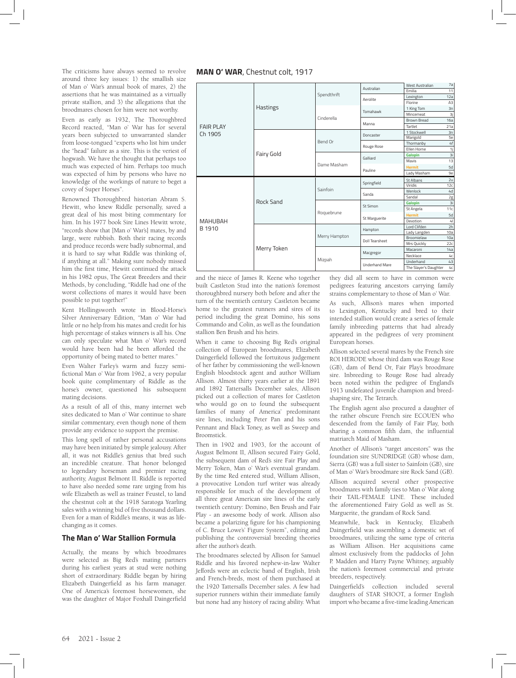The criticisms have always seemed to revolve around three key issues: 1) the smallish size of Man o' War's annual book of mares, 2) the assertions that he was maintained as a virtually private stallion, and 3) the allegations that the broodmares chosen for him were not worthy.

Even as early as 1932, The Thoroughbred Record reacted, "Man o' War has for several years been subjected to unwarranted slander from loose-tongued "experts who list him under the "head" failure as a sire. This is the veriest of hogwash. We have the thought that perhaps too much was expected of him. Perhaps too much was expected of him by persons who have no knowledge of the workings of nature to beget a covey of Super Horses".

Renowned Thoroughbred historian Abram S. Hewitt, who knew Riddle personally, saved a great deal of his most biting commentary for him. In his 1977 book Sire Lines Hewitt wrote, "records show that [Man o' War's] mates, by and large, were rubbish. Both their racing records and produce records were badly subnormal, and it is hard to say what Riddle was thinking of, if anything at all." Making sure nobody missed him the first time, Hewitt continued the attack in his 1982 opus, The Great Breeders and their Methods, by concluding, "Riddle had one of the worst collections of mares it would have been possible to put together!"

Kent Hollingsworth wrote in Blood-Horse's Silver Anniversary Edition, "Man o' War had little or no help from his mates and credit for his high percentage of stakes winners is all his. One can only speculate what Man o' War's record would have been had he been afforded the opportunity of being mated to better mares."

Even Walter Farley's warm and fuzzy semifictional Man o' War from 1962, a very popular book quite complimentary of Riddle as the horse's owner, questioned his subsequent mating decisions.

As a result of all of this, many internet web sites dedicated to Man o' War continue to share similar commentary, even though none of them provide any evidence to support the premise.

This long spell of rather personal accusations may have been initiated by simple jealousy. After all, it was not Riddle's genius that bred such an incredible creature. That honor belonged to legendary horseman and premier racing authority, August Belmont II. Riddle is reported to have also needed some rare urging from his wife Elizabeth as well as trainer Feustel, to land the chestnut colt at the 1918 Saratoga Yearling sales with a winning bid of five thousand dollars. Even for a man of Riddle's means, it was as lifechanging as it comes.

## **The Man o' War Stallion Formula**

Actually, the means by which broodmares were selected as Big Red's mating partners during his earliest years at stud were nothing short of extraordinary. Riddle began by hiring Elizabeth Daingerfield as his farm manager. One of America's foremost horsewomen, she was the daughter of Major Foxhall Daingerfield



| <b>FAIR PLAY</b><br>Ch 1905 | Hastings    | Spendthrift   | Australian            | <b>West Australian</b> | 7a             |
|-----------------------------|-------------|---------------|-----------------------|------------------------|----------------|
|                             |             |               |                       | Emilia                 | 11             |
|                             |             |               | Aerolite              | Lexington              | 12a            |
|                             |             |               |                       | Florine                | A3             |
|                             |             | Cinderella    | Tomahawk              | 1 King Tom             | 3n             |
|                             |             |               |                       | Mincemeat              | 3j             |
|                             |             |               | Manna                 | Brown Bread            | 16a            |
|                             |             |               |                       | Tartlet                | 21a            |
|                             | Fairy Gold  | Bend Or       | Doncaster             | 1 Stockwell            | 3n             |
|                             |             |               |                       | Marigold               | 5e             |
|                             |             |               | Rouge Rose            | Thormanby              | 4f             |
|                             |             |               |                       | Ellen Horne            | 1j             |
|                             |             | Dame Masham   | Galliard              | <b>Galopin</b>         | 3i             |
|                             |             |               |                       | Mavis                  | 13             |
|                             |             |               | Pauline               | <b>Hermit</b>          | 5d             |
|                             |             |               |                       | Lady Masham            | 9e             |
|                             |             |               |                       |                        |                |
|                             |             |               |                       | St Albans              | 2u             |
|                             |             |               | Springfield           | Viridis                | 12c            |
|                             |             | Sainfoin      |                       | Wenlock                | 4d             |
|                             |             |               | Sanda                 | Sandal                 | 2g             |
|                             | Rock Sand   |               |                       | <b>Galopin</b>         | 3i             |
|                             |             |               | St Simon              | St Angela              | 11c            |
|                             |             | Roquebrune    |                       | <b>Hermit</b>          | 5d             |
| <b>MAHUBAH</b>              |             |               | <b>St Marguerite</b>  | Devotion               | 4 <sup>1</sup> |
|                             |             |               |                       | Lord Clifden           | 2h             |
| B 1910                      |             |               | Hampton               | Lady Langden           | 10a            |
|                             |             | Merry Hampton |                       | Broomielaw             | 10a            |
|                             |             |               | Doll Tearsheet        | Mrs Quickly            | 22c            |
|                             | Merry Token |               |                       | Macaroni               | 14a            |
|                             |             |               | Macgregor             | Necklace               | 4c             |
|                             |             | Mizpah        | <b>Underhand Mare</b> | Underhand              | 43             |

and the niece of James R. Keene who together built Castleton Stud into the nation's foremost thoroughbred nursery both before and after the turn of the twentieth century. Castleton became home to the greatest runners and sires of its period including the great Domino, his sons Commando and Colin, as well as the foundation stallion Ben Brush and his heirs.

When it came to choosing Big Red's original collection of European broodmares, Elizabeth Daingerfield followed the fortuitous judgement of her father by commissioning the well-known English bloodstock agent and author William Allison. Almost thirty years earlier at the 1891 and 1892 Tattersalls December sales, Allison picked out a collection of mares for Castleton who would go on to found the subsequent families of many of America' predominant sire lines, including Peter Pan and his sons Pennant and Black Toney, as well as Sweep and Broomstick.

Then in 1902 and 1903, for the account of August Belmont II, Allison secured Fairy Gold, the subsequent dam of Red's sire Fair Play and Merry Token, Man o' War's eventual grandam. By the time Red entered stud, William Allison, a provocative London turf writer was already responsible for much of the development of all three great American sire lines of the early twentieth century: Domino, Ben Brush and Fair Play - an awesome body of work. Allison also became a polarizing figure for his championing of C. Bruce Lowe's' Figure System", editing and publishing the controversial breeding theories after the author's death.

The broodmares selected by Allison for Samuel Riddle and his favored nephew-in-law Walter Jeffords were an eclectic band of English, Irish and French-breds, most of them purchased at the 1920 Tattersalls December sales. A few had superior runners within their immediate family but none had any history of racing ability. What they did all seem to have in common were pedigrees featuring ancestors carrying family strains complementary to those of Man o' War.

As such, Allison's mares when imported to Lexington, Kentucky and bred to their intended stallion would create a series of female family inbreeding patterns that had already appeared in the pedigrees of very prominent European horses.

Allison selected several mares by the French sire ROI HERODE whose third dam was Rouge Rose (GB), dam of Bend Or, Fair Play's broodmare sire. Inbreeding to Rouge Rose had already been noted within the pedigree of England's 1913 undefeated juvenile champion and breedshaping sire, The Tetrarch.

The English agent also procured a daughter of the rather obscure French sire ECOUEN who descended from the family of Fair Play, both sharing a common fifth dam, the influential matriarch Maid of Masham.

Another of Allison's "target ancestors" was the foundation sire SUNDRIDGE (GB) whose dam, Sierra (GB) was a full sister to Sainfoin (GB), sire of Man o' War's broodmare sire Rock Sand (GB).

Allison acquired several other prospective broodmares with family ties to Man o' War along their TAIL-FEMALE LINE. These included the aforementioned Fairy Gold as well as St. Marguerite, the grandam of Rock Sand.

Meanwhile, back in Kentucky, Elizabeth Daingerfield was assembling a domestic set of broodmares, utilizing the same type of criteria as William Allison. Her acquisitions came almost exclusively from the paddocks of John P. Madden and Harry Payne Whitney, arguably the nation's foremost commercial and private breeders, respectively.

Daingerfield's collection included several daughters of STAR SHOOT, a former English import who became a five-time leading American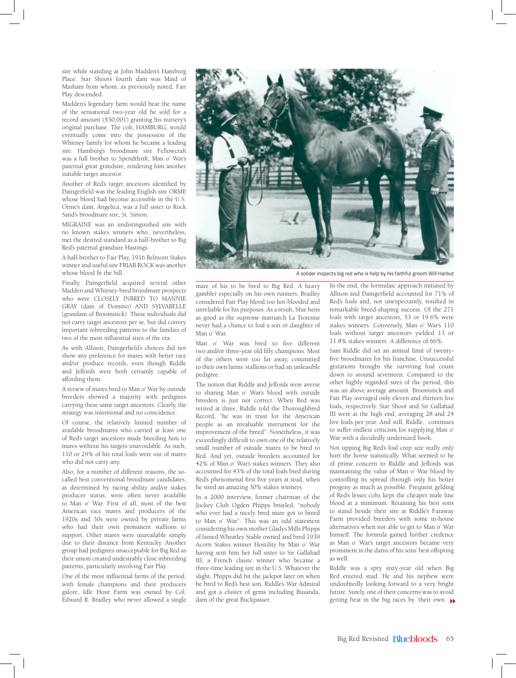sire while standing at John Madden's Hamburg Place. Star Shoot's fourth dam was Maid of Masham from whom, as previously noted, Fair Play descended.

Madden's legendary farm would bear the name of the sensational two-year old he sold for a record amount (\$50,001) granting his nursery's original purchase. The colt, HAMBURG, would eventually come into the possession of the Whitney family for whom he became a leading sire. Hamburg's broodmare sire Fellowcraft was a full brother to Spendthrift, Man o' War's paternal great grandsire, rendering him another suitable target ancestor.

Another of Red's target ancestors identified by Daingerfield was the leading English sire ORME whose blood had become accessible in the U.S. Orme's dam, Angelica, was a full sister to Rock Sand's broodmare sire, St. Simon.

MIGRAINE was an undistinguished sire with no known stakes winners who, nevertheless, met the desired standard as a half-brother to Big Red's paternal grandsire Hastings.

A half-brother to Fair Play, 1916 Belmont Stakes winner and useful sire FRIAR ROCK was another whose blood fit the bill.

Finally, Daingerfield acquired several other Madden and Whitney-bred broodmare prospects who were CLOSELY INBRED TO MANNIE GRAY (dam of Domino) AND SYLVABELLE (grandam of Broomstick). These individuals did not carry target ancestors per se, but did convey important inbreeding patterns to the families of two of the most influential sires of the era.

As with Allison, Daingerfield's choices did not show any preference for mares with better race and/or produce records, even though Riddle and Jeffords were both certainly capable of affording them.

A review of mares bred to Man o' War by outside breeders showed a majority with pedigrees carrying these same target ancestors. Clearly, the strategy was intentional and no coincidence.

Of course, the relatively limited number of available broodmares who carried at least one of Red's target ancestors made breeding him to mares without his targets unavoidable. As such, 110 or 29% of his total foals were out of mares who did not carry any.

Also, for a number of different reasons, the socalled best conventional broodmare candidates, as determined by racing ability and/or stakes producer status, were often never available to Man o' War. First of all, most of the best American race mares and producers of the 1920s and 30s were owned by private farms who had their own prominent stallions to support. Other mares were unavailable simply due to their distance from Kentucky. Another group had pedigrees unacceptable for Big Red as their union created undesirably close inbreeding patterns, particularly involving Fair Play.

One of the most influential farms of the period, with female champions and their producers galore, Idle Hour Farm was owned by Col. Edward R. Bradley who never allowed a single



A solider inspects big red who is help by his faithful groom Will Harbut

mare of his to be bred to Big Red. A heavy gambler especially on his own runners, Bradley considered Fair Play blood too hot-blooded and unreliable for his purposes. As a result, blue hens as good as the supreme matriarch La Troienne never had a chance to foal a son or daughter of Man o' War.

Man o' War was bred to five different two and/or three-year old filly champions. Most of the others were too far away, committed to their own farms' stallions or had an unfeasible pedigree.

The notion that Riddle and Jeffords were averse to sharing Man o' War's blood with outside breeders is just not correct. When Red was retired at three, Riddle told the Thoroughbred Record, "he was in trust for the American people as an invaluable instrument for the improvement of the breed". Nonetheless, it was exceedingly difficult to own one of the relatively small number of outside mares to be bred to Red. And yet, outside breeders accounted for 42% of Man o' War's stakes winners. They also accounted for 43% of the total foals bred during Red's phenomenal first five years at stud, when he sired an amazing 30% stakes winners.

In a 2000 interview, former chairman of the Jockey Club Ogden Phipps bristled, "nobody who ever had a nicely bred mare got to breed to Man o' War". This was an odd statement considering his own mother Gladys Mills Phipps of famed Wheatley Stable owned and bred 1939 Acorn Stakes winner Hostility by Man o' War having sent him her full sister to Sir Gallahad III, a French classic winner who became a three-time leading sire in the U.S. Whatever the slight, Phipps did hit the jackpot later on when he bred to Red's best son, Riddle's War Admiral and got a cluster of gems including Busanda, dam of the great Buckpasser.

In the end, the formulaic approach initiated by Allison and Daingerfield accounted for 71% of Red's foals and, not unexpectantly, resulted in remarkable breed-shaping success. Of the 271 foals with target ancestors, 53 or 19.6% were stakes winners. Conversely, Man o' War's 110 foals without target ancestors yielded 13 or 11.8% stakes winners. A difference of 66%.

Sam Riddle did set an annual limit of twentyfive broodmares for his franchise. Unsuccessful gestations brought the surviving foal count down to around seventeen. Compared to the other highly regarded sires of the period, this was an above average amount. Broomstick and Fair Play averaged only eleven and thirteen live foals, respectively. Star Shoot and Sir Gallahad III were at the high end, averaging 28 and 24 live foals per year. And still, Riddle, continues to suffer endless criticism for supplying Man o' War with a decidedly undersized book.

Not upping Big Red's foal crop size really only hurt the horse statistically. What seemed to be of prime concern to Riddle and Jeffords was maintaining the value of Man o' War blood by controlling its spread through only his better progeny as much as possible. Frequent gelding of Red's lesser colts kept the cheaper male line blood at a minimum. Retaining his best sons to stand beside their sire at Riddle's Faraway Farm provided breeders with some in-house alternatives when not able to get to Man o' War himself. The formula gained further credence as Man o' War's target ancestors became very prominent in the dams of his sons' best offspring as well.

Riddle was a spry sixty-year old when Big Red entered stud. He and his nephew were undoubtedly looking forward to a very bright future. Surely, one of their concerns was to avoid getting beat in the big races by 'their own